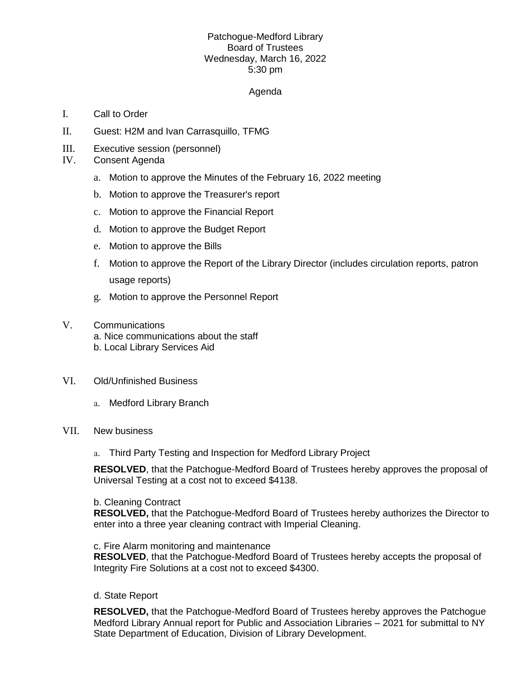# Patchogue-Medford Library Board of Trustees Wednesday, March 16, 2022 5:30 pm

## Agenda

- I. Call to Order
- II. Guest: H2M and Ivan Carrasquillo, TFMG
- III. Executive session (personnel)
- IV. Consent Agenda
	- a. Motion to approve the Minutes of the February 16, 2022 meeting
	- b. Motion to approve the Treasurer's report
	- c. Motion to approve the Financial Report
	- d. Motion to approve the Budget Report
	- e. Motion to approve the Bills
	- f. Motion to approve the Report of the Library Director (includes circulation reports, patron usage reports)
	- g. Motion to approve the Personnel Report
- V. Communications a. Nice communications about the staff b. Local Library Services Aid
- VI. Old/Unfinished Business
	- a. Medford Library Branch

### VII. New business

a. Third Party Testing and Inspection for Medford Library Project

**RESOLVED**, that the Patchogue-Medford Board of Trustees hereby approves the proposal of Universal Testing at a cost not to exceed \$4138.

#### b. Cleaning Contract

**RESOLVED,** that the Patchogue-Medford Board of Trustees hereby authorizes the Director to enter into a three year cleaning contract with Imperial Cleaning.

c. Fire Alarm monitoring and maintenance

**RESOLVED**, that the Patchogue-Medford Board of Trustees hereby accepts the proposal of Integrity Fire Solutions at a cost not to exceed \$4300.

### d. State Report

**RESOLVED,** that the Patchogue-Medford Board of Trustees hereby approves the Patchogue Medford Library Annual report for Public and Association Libraries – 2021 for submittal to NY State Department of Education, Division of Library Development.